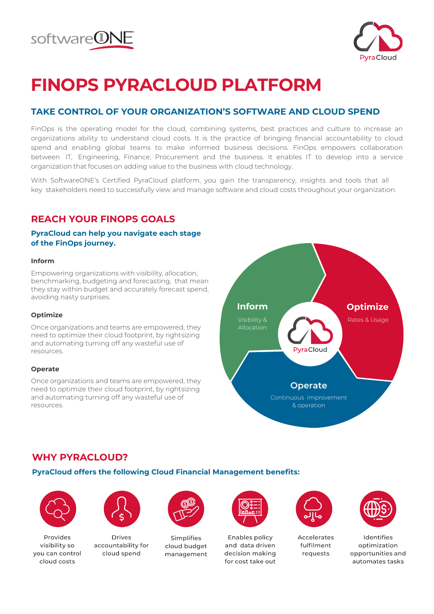



# **FINOPS PYRACLOUD PLATFORM**

# **TAKE CONTROL OF YOUR ORGANIZATION'S SOFTWARE AND CLOUD SPEND**

FinOps is the operating model for the cloud, combining systems, best practices and culture to increase an organizations ability to understand cloud costs. It is the practice of bringing financial accountability to cloud spend and enabling global teams to make informed business decisions. FinOps empowers collaboration between IT, Engineering, Finance, Procurement and the business. It enables IT to develop into a service organization that focuses on adding value to the business with cloud technology.

With SoftwareONE's Certified PyraCloud platform, you gain the transparency, insights and tools that all key stakeholders need to successfully view and manage software and cloud costs throughout your organization.

# **REACH YOUR FINOPS GOALS**

## **PyraCloud can help you navigate each stage of the FinOps journey.**

#### **Inform**

Empowering organizations with visibility, allocation, benchmarking, budgeting and forecasting, that mean they stay within budget and accurately forecast spend, avoiding nasty surprises.

#### **Optimize**

Once organizations and teams are empowered, they need to optimize their cloud footprint, by rightsizing and automating turning off any wasteful use of resources.

#### **Operate**

Once organizations and teams are empowered, they need to optimize their cloud footprint, by rightsizing and automating turning off any wasteful use of resources.



# **WHY PYRACLOUD?**

## **PyraCloud offers the following Cloud Financial Management benefits:**



Provides visibility so vou can control cloud costs



Drives accountability for cloud spend



Simplifies cloud budget management



**Enables policy** and data driven decision making for cost take out



**Accelerates** fulfilment requests



Identifies optimization opportunities and automates tasks